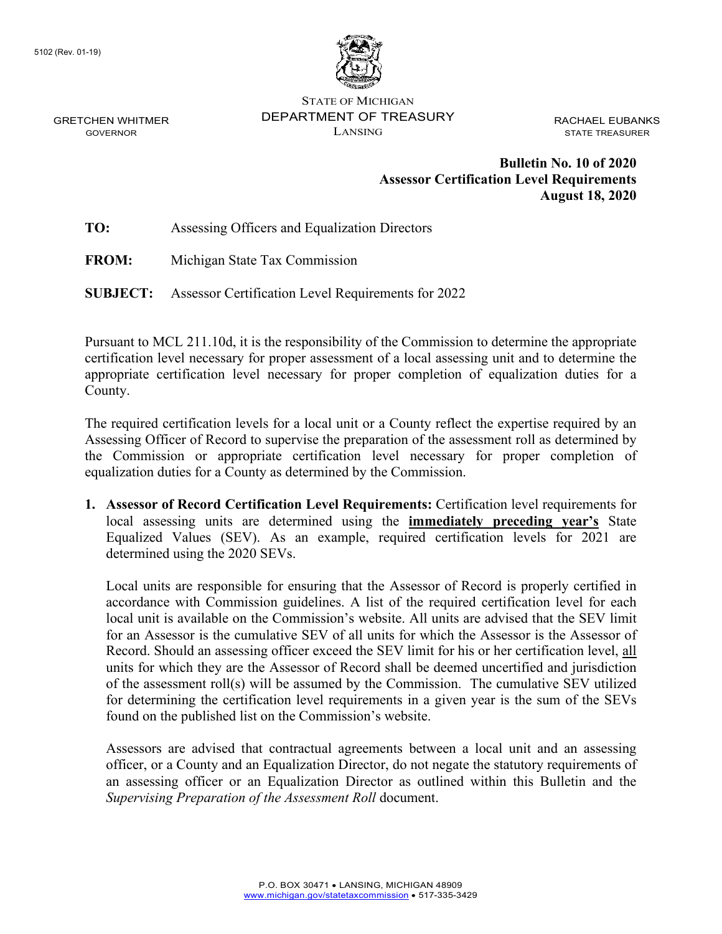GRETCHEN WHITMER GOVERNOR



STATE OF MICHIGAN DEPARTMENT OF TREASURY LANSING

RACHAEL EUBANKS STATE TREASURER

## **Bulletin No. 10 of 2020 Assessor Certification Level Requirements August 18, 2020**

**TO:** Assessing Officers and Equalization Directors

**FROM:** Michigan State Tax Commission

**SUBJECT:** Assessor Certification Level Requirements for 2022

Pursuant to MCL 211.10d, it is the responsibility of the Commission to determine the appropriate certification level necessary for proper assessment of a local assessing unit and to determine the appropriate certification level necessary for proper completion of equalization duties for a County.

The required certification levels for a local unit or a County reflect the expertise required by an Assessing Officer of Record to supervise the preparation of the assessment roll as determined by the Commission or appropriate certification level necessary for proper completion of equalization duties for a County as determined by the Commission.

**1. Assessor of Record Certification Level Requirements:** Certification level requirements for local assessing units are determined using the **immediately preceding year's** State Equalized Values (SEV). As an example, required certification levels for 2021 are determined using the 2020 SEVs.

Local units are responsible for ensuring that the Assessor of Record is properly certified in accordance with Commission guidelines. A list of the required certification level for each local unit is available on the Commission's website. All units are advised that the SEV limit for an Assessor is the cumulative SEV of all units for which the Assessor is the Assessor of Record. Should an assessing officer exceed the SEV limit for his or her certification level, all units for which they are the Assessor of Record shall be deemed uncertified and jurisdiction of the assessment roll(s) will be assumed by the Commission. The cumulative SEV utilized for determining the certification level requirements in a given year is the sum of the SEVs found on the published list on the Commission's website.

Assessors are advised that contractual agreements between a local unit and an assessing officer, or a County and an Equalization Director, do not negate the statutory requirements of an assessing officer or an Equalization Director as outlined within this Bulletin and the *Supervising Preparation of the Assessment Roll* document.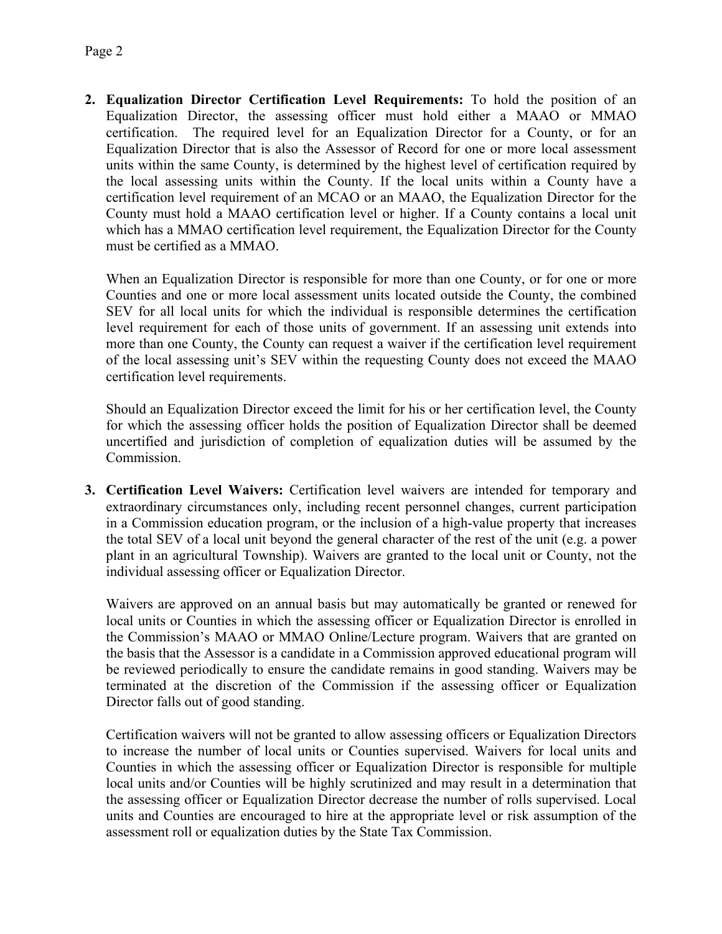**2. Equalization Director Certification Level Requirements:** To hold the position of an Equalization Director, the assessing officer must hold either a MAAO or MMAO certification. The required level for an Equalization Director for a County, or for an Equalization Director that is also the Assessor of Record for one or more local assessment units within the same County, is determined by the highest level of certification required by the local assessing units within the County. If the local units within a County have a certification level requirement of an MCAO or an MAAO, the Equalization Director for the County must hold a MAAO certification level or higher. If a County contains a local unit which has a MMAO certification level requirement, the Equalization Director for the County must be certified as a MMAO.

When an Equalization Director is responsible for more than one County, or for one or more Counties and one or more local assessment units located outside the County, the combined SEV for all local units for which the individual is responsible determines the certification level requirement for each of those units of government. If an assessing unit extends into more than one County, the County can request a waiver if the certification level requirement of the local assessing unit's SEV within the requesting County does not exceed the MAAO certification level requirements.

Should an Equalization Director exceed the limit for his or her certification level, the County for which the assessing officer holds the position of Equalization Director shall be deemed uncertified and jurisdiction of completion of equalization duties will be assumed by the Commission.

**3. Certification Level Waivers:** Certification level waivers are intended for temporary and extraordinary circumstances only, including recent personnel changes, current participation in a Commission education program, or the inclusion of a high-value property that increases the total SEV of a local unit beyond the general character of the rest of the unit (e.g. a power plant in an agricultural Township). Waivers are granted to the local unit or County, not the individual assessing officer or Equalization Director.

Waivers are approved on an annual basis but may automatically be granted or renewed for local units or Counties in which the assessing officer or Equalization Director is enrolled in the Commission's MAAO or MMAO Online/Lecture program. Waivers that are granted on the basis that the Assessor is a candidate in a Commission approved educational program will be reviewed periodically to ensure the candidate remains in good standing. Waivers may be terminated at the discretion of the Commission if the assessing officer or Equalization Director falls out of good standing.

Certification waivers will not be granted to allow assessing officers or Equalization Directors to increase the number of local units or Counties supervised. Waivers for local units and Counties in which the assessing officer or Equalization Director is responsible for multiple local units and/or Counties will be highly scrutinized and may result in a determination that the assessing officer or Equalization Director decrease the number of rolls supervised. Local units and Counties are encouraged to hire at the appropriate level or risk assumption of the assessment roll or equalization duties by the State Tax Commission.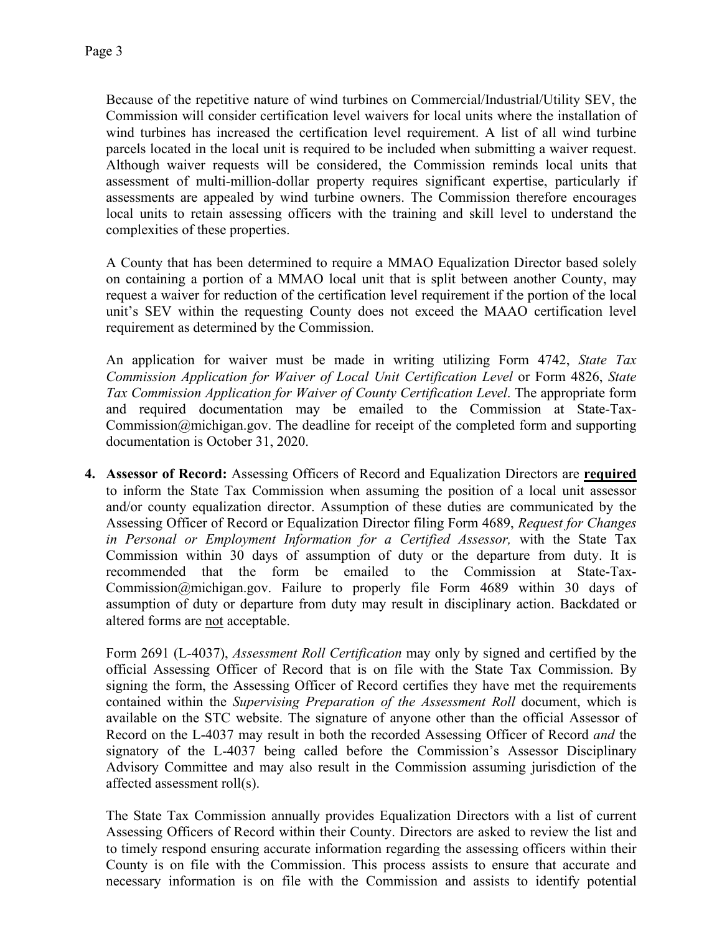Because of the repetitive nature of wind turbines on Commercial/Industrial/Utility SEV, the Commission will consider certification level waivers for local units where the installation of wind turbines has increased the certification level requirement. A list of all wind turbine parcels located in the local unit is required to be included when submitting a waiver request. Although waiver requests will be considered, the Commission reminds local units that assessment of multi-million-dollar property requires significant expertise, particularly if assessments are appealed by wind turbine owners. The Commission therefore encourages local units to retain assessing officers with the training and skill level to understand the complexities of these properties.

A County that has been determined to require a MMAO Equalization Director based solely on containing a portion of a MMAO local unit that is split between another County, may request a waiver for reduction of the certification level requirement if the portion of the local unit's SEV within the requesting County does not exceed the MAAO certification level requirement as determined by the Commission.

An application for waiver must be made in writing utilizing Form 4742, *State Tax Commission Application for Waiver of Local Unit Certification Level* or Form 4826, *State Tax Commission Application for Waiver of County Certification Level*. The appropriate form and required documentation may be emailed to the Commission at [State-Tax-](mailto:State-Tax-Commission@michigan.gov)[Commission@michigan.gov.](mailto:State-Tax-Commission@michigan.gov) The deadline for receipt of the completed form and supporting documentation is October 31, 2020.

**4. Assessor of Record:** Assessing Officers of Record and Equalization Directors are **required** to inform the State Tax Commission when assuming the position of a local unit assessor and/or county equalization director. Assumption of these duties are communicated by the Assessing Officer of Record or Equalization Director filing Form 4689, *Request for Changes in Personal or Employment Information for a Certified Assessor,* with the State Tax Commission within 30 days of assumption of duty or the departure from duty. It is recommended that the form be emailed to the Commission at State-Tax-Commission@michigan.gov. Failure to properly file Form 4689 within 30 days of assumption of duty or departure from duty may result in disciplinary action. Backdated or altered forms are not acceptable.

Form 2691 (L-4037), *Assessment Roll Certification* may only by signed and certified by the official Assessing Officer of Record that is on file with the State Tax Commission. By signing the form, the Assessing Officer of Record certifies they have met the requirements contained within the *Supervising Preparation of the Assessment Roll* document, which is available on the STC website. The signature of anyone other than the official Assessor of Record on the L-4037 may result in both the recorded Assessing Officer of Record *and* the signatory of the L-4037 being called before the Commission's Assessor Disciplinary Advisory Committee and may also result in the Commission assuming jurisdiction of the affected assessment roll(s).

The State Tax Commission annually provides Equalization Directors with a list of current Assessing Officers of Record within their County. Directors are asked to review the list and to timely respond ensuring accurate information regarding the assessing officers within their County is on file with the Commission. This process assists to ensure that accurate and necessary information is on file with the Commission and assists to identify potential